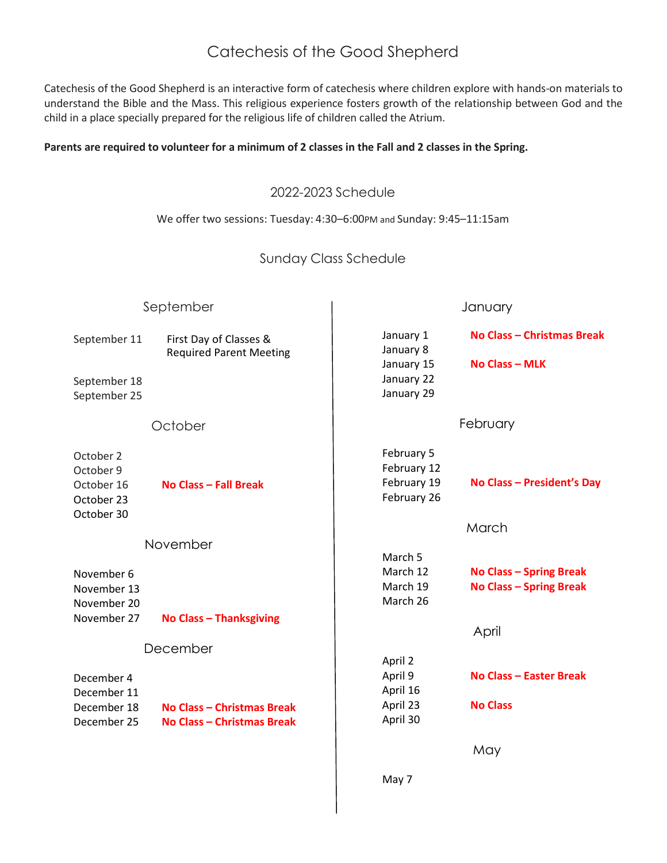# Catechesis of the Good Shepherd

Catechesis of the Good Shepherd is an interactive form of catechesis where children explore with hands-on materials to understand the Bible and the Mass. This religious experience fosters growth of the relationship between God and the child in a place specially prepared for the religious life of children called the Atrium.

#### **Parents are required to volunteer for a minimum of 2 classes in the Fall and 2 classes in the Spring.**

### 2022-2023 Schedule

#### We offer two sessions: Tuesday: 4:30–6:00PM and Sunday: 9:45–11:15am

## Sunday Class Schedule

| September                                                        |                                                          | January                                                          |                                                                  |
|------------------------------------------------------------------|----------------------------------------------------------|------------------------------------------------------------------|------------------------------------------------------------------|
| September 11<br>September 18<br>September 25                     | First Day of Classes &<br><b>Required Parent Meeting</b> | January 1<br>January 8<br>January 15<br>January 22<br>January 29 | No Class - Christmas Break<br><b>No Class - MLK</b>              |
|                                                                  | October                                                  |                                                                  | February                                                         |
| October 2<br>October 9<br>October 16<br>October 23<br>October 30 | No Class - Fall Break                                    | February 5<br>February 12<br>February 19<br>February 26          | No Class - President's Day                                       |
|                                                                  |                                                          |                                                                  | March                                                            |
|                                                                  | November                                                 | March 5                                                          |                                                                  |
| November 6<br>November 13<br>November 20                         |                                                          | March 12<br>March 19<br>March 26                                 | <b>No Class - Spring Break</b><br><b>No Class - Spring Break</b> |
| November 27                                                      | <b>No Class - Thanksgiving</b>                           |                                                                  | April                                                            |
| December                                                         |                                                          |                                                                  |                                                                  |
| December 4<br>December 11<br>December 18                         | <b>No Class - Christmas Break</b>                        | April 2<br>April 9<br>April 16<br>April 23                       | No Class - Easter Break<br><b>No Class</b>                       |
| December 25                                                      | No Class - Christmas Break                               | April 30                                                         |                                                                  |
|                                                                  |                                                          |                                                                  | May                                                              |
|                                                                  |                                                          | May 7                                                            |                                                                  |
|                                                                  |                                                          |                                                                  |                                                                  |